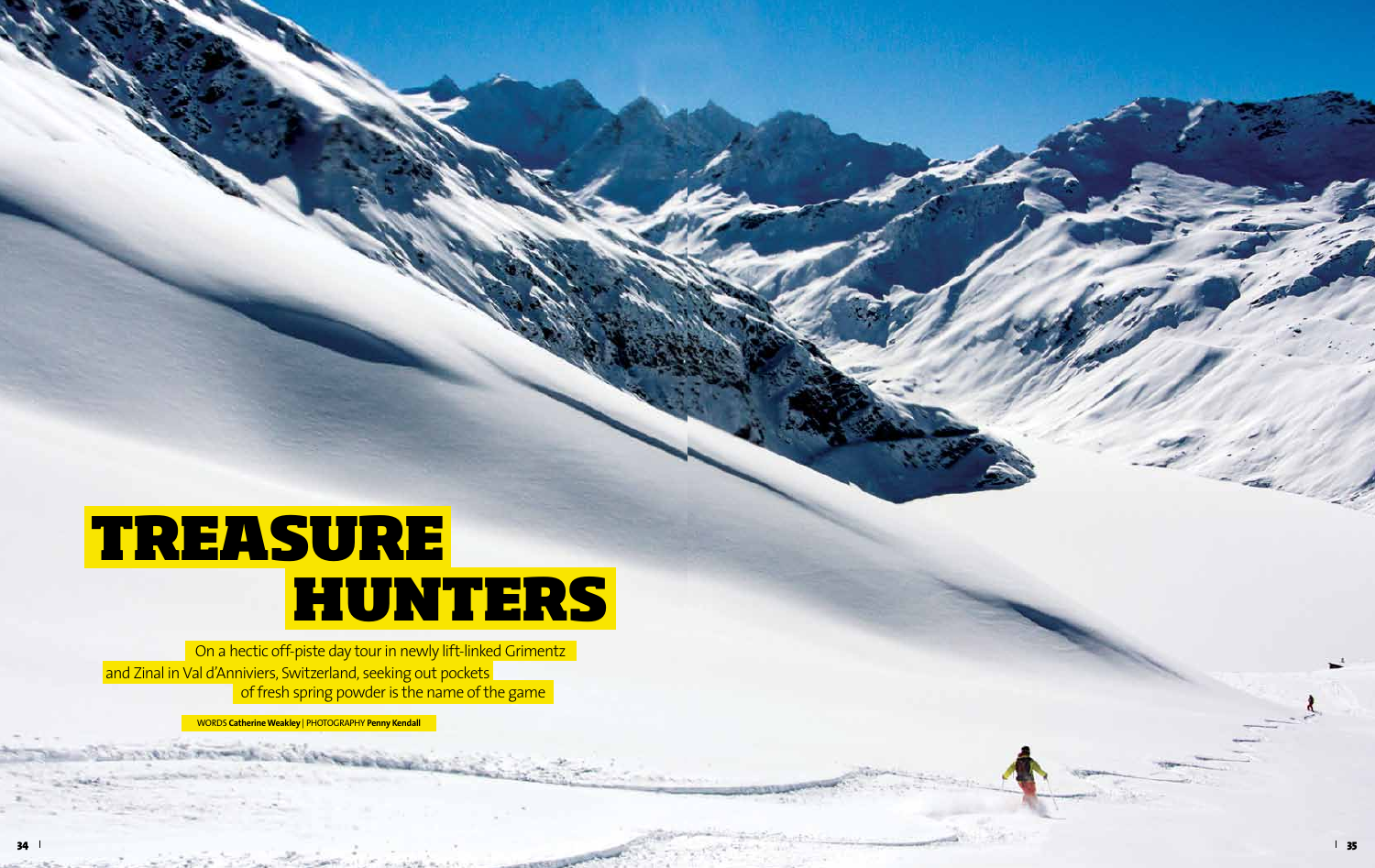

Words **Catherine Weakley** | photography **Penny Kendall**

Wir Sweden

# TREASURE HUNTERS

of fresh spring powder is the name of the game On a hectic off-piste day tour in newly lift-linked Grimentz and Zinal in Val d'Anniviers, Switzerland, seeking out pockets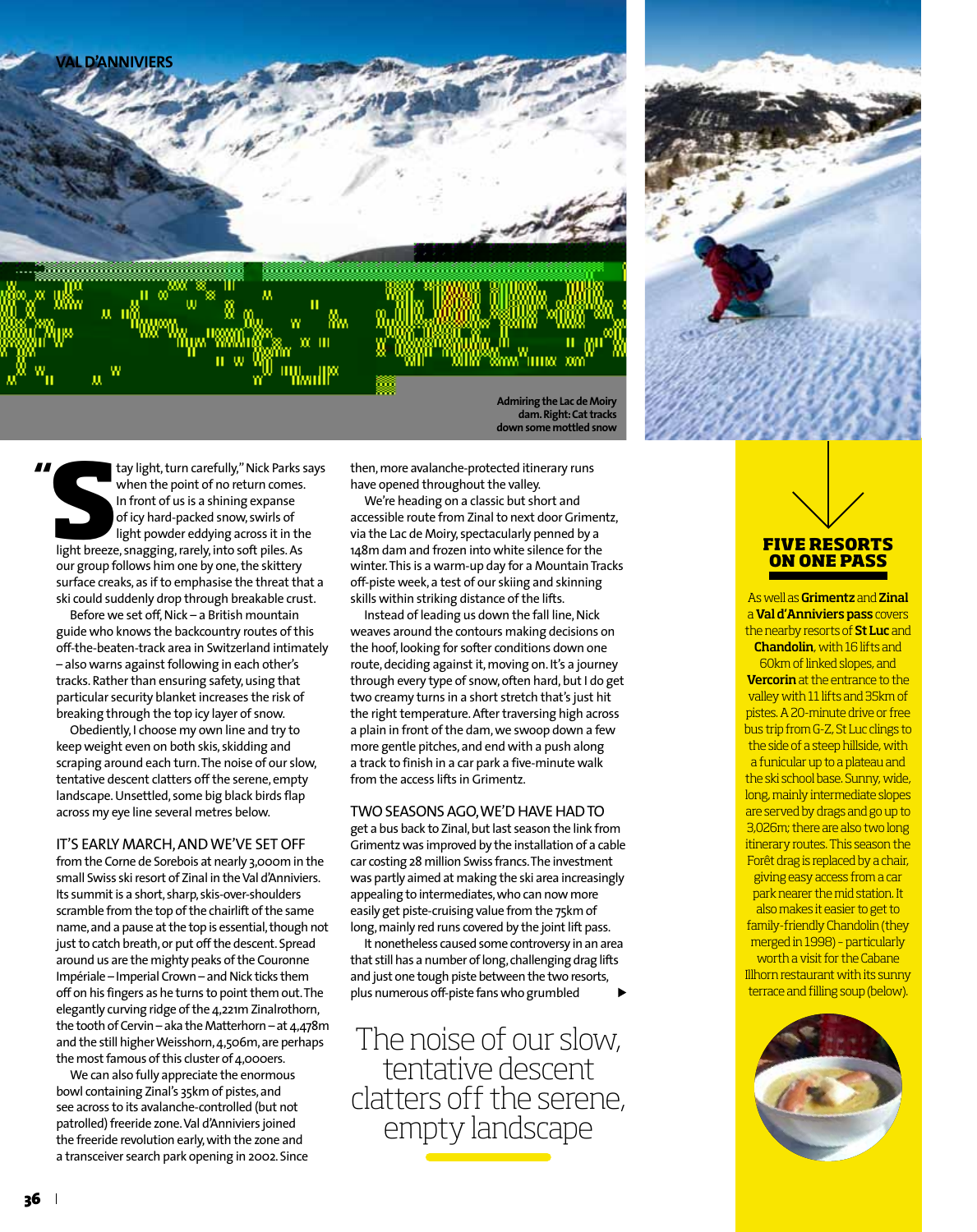

tay light, turn carefully," Nick Parks softwhen the point of no return comes.<br>In front of us is a shining expanse of icy hard-packed snow, swirls of<br>light breeze, snagging, rarely, into soft piles. As tay light, turn carefully," Nick Parks says when the point of no return comes. In front of us is a shining expanse of icy hard-packed snow, swirls of light powder eddying across it in the our group follows him one by one, the skittery surface creaks, as if to emphasise the threat that a ski could suddenly drop through breakable crust. **The availanche-protected itinerary runs**<br>
then, more avalanche-protected itinerary runs<br>
when the point of no return comes. have opened throughout the valley.

Before we set off, Nick – a British mountain guide who knows the backcountry routes of this off-the-beaten-track area in Switzerland intimately – also warns against following in each other's tracks. Rather than ensuring safety, using that particular security blanket increases the risk of breaking through the top icy layer of snow.

Obediently, I choose my own line and try to keep weight even on both skis, skidding and scraping around each turn. The noise of our slow, tentative descent clatters off the serene, empty landscape. Unsettled, some big black birds flap across my eye line several metres below.

#### IT'S EARLY MARCH, AND WE'VE SET OFF

from the Corne de Sorebois at nearly 3,000m in the small Swiss ski resort of Zinal in the Val d'Anniviers. Its summit is a short, sharp, skis-over-shoulders scramble from the top of the chairlift of the same name, and a pause at the top is essential, though not just to catch breath, or put off the descent. Spread around us are the mighty peaks of the Couronne Impériale – Imperial Crown – and Nick ticks them off on his fingers as he turns to point them out. The elegantly curving ridge of the 4,221m Zinalrothorn, the tooth of Cervin – aka the Matterhorn – at 4,478m and the still higher Weisshorn, 4,506m, are perhaps the most famous of this cluster of 4,000ers.

We can also fully appreciate the enormous bowl containing Zinal's 35km of pistes, and see across to its avalanche-controlled (but not patrolled) freeride zone. Val d'Anniviers joined the freeride revolution early, with the zone and a transceiver search park opening in 2002. Since

We're heading on a classic but short and accessible route from Zinal to next door Grimentz, via the Lac de Moiry, spectacularly penned by a 148m dam and frozen into white silence for the winter. This is a warm-up day for a Mountain Tracks off-piste week, a test of our skiing and skinning skills within striking distance of the lifts.

Instead of leading us down the fall line, Nick weaves around the contours making decisions on the hoof, looking for softer conditions down one route, deciding against it, moving on. It's a journey through every type of snow, often hard, but I do get two creamy turns in a short stretch that's just hit the right temperature. After traversing high across a plain in front of the dam, we swoop down a few more gentle pitches, and end with a push along a track to finish in a car park a five-minute walk from the access lifts in Grimentz.

## Two seasons ago, we'd have had to

get a bus back to Zinal, but last season the link from Grimentz was improved by the installation of a cable car costing 28 million Swiss francs. The investment was partly aimed at making the ski area increasingly appealing to intermediates, who can now more easily get piste-cruising value from the 75km of long, mainly red runs covered by the joint lift pass.

It nonetheless caused some controversy in an area that still has a number of long, challenging drag lifts and just one tough piste between the two resorts, plus numerous off-piste fans who grumbled

The noise of our slow, tentative descent clatters off the serene, empty landscape



# **five resorts on one pass**

As well as Grimentz and Zinal a Val d'Anniviers pass covers the nearby resorts of **St Luc** and Chandolin, with 16 lifts and 60km of linked slopes, and Vercorin at the entrance to the valley with 11 lifts and 35km of pistes. A 20-minute drive or free bus trip from G-Z, St Luc clings to the side of a steep hillside, with a funicular up to a plateau and the ski school base. Sunny, wide, long, mainly intermediate slopes are served by drags and go up to 3,026m; there are also two long itinerary routes. This season the Forêt drag is replaced by a chair, giving easy access from a car park nearer the mid station. It also makes it easier to get to family-friendly Chandolin (they merged in 1998) – particularly worth a visit for the Cabane

Illhorn restaurant with its sunny terrace and filling soup (below).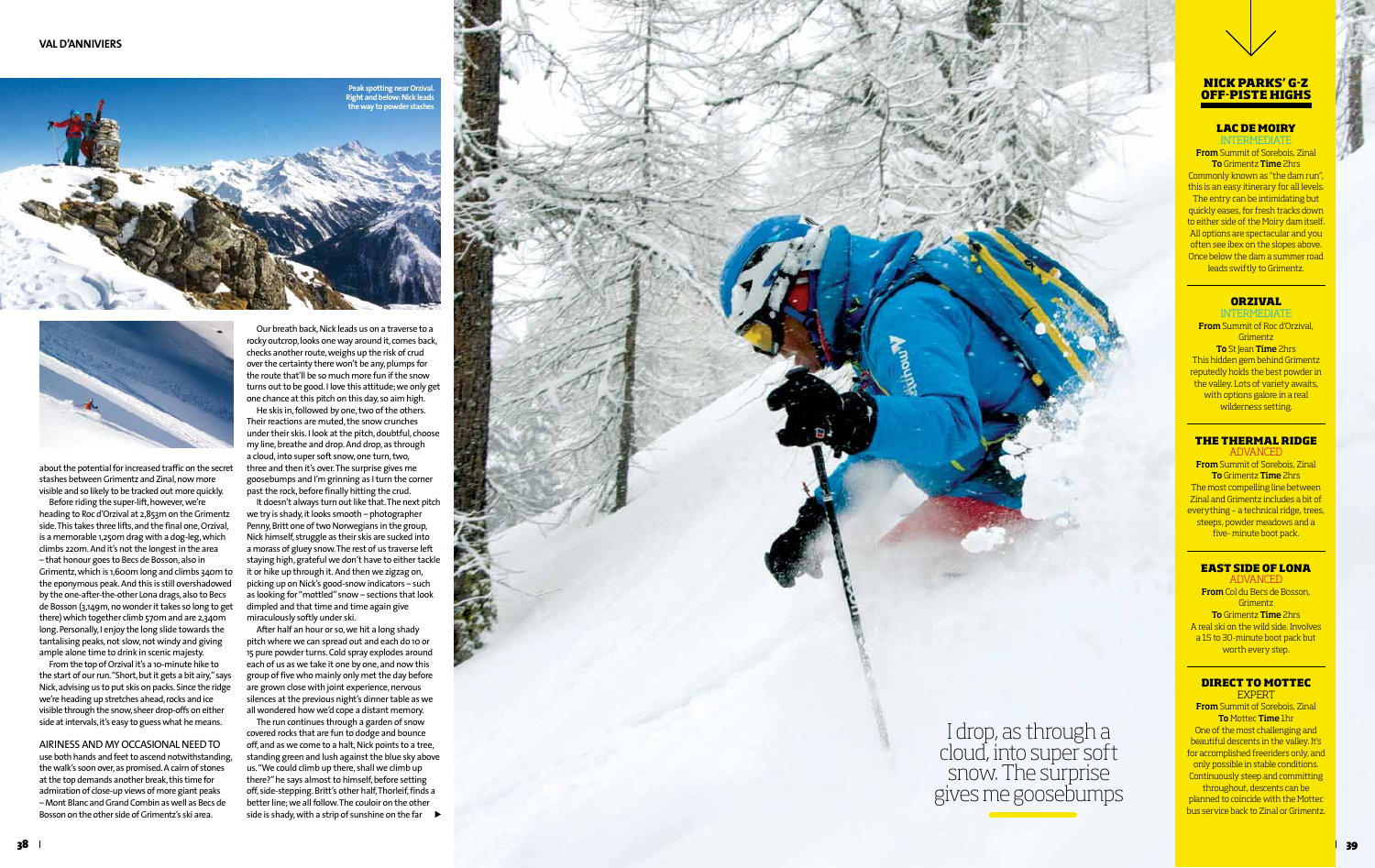Before riding the super-lift, however, we're heading to Roc d'Orzival at 2,853m on the Grimentz side. This takes three lifts, and the final one, Orzival, is a memorable 1,250m drag with a dog-leg, which climbs 220m. And it's not the longest in the area – that honour goes to Becs de Bosson, also in Grimentz, which is 1,600m long and climbs 340m to the eponymous peak. And this is still overshadowed by the one-after-the-other Lona drags, also to Becs de Bosson (3,149m, no wonder it takes so long to get there) which together climb 570m and are 2,340m long. Personally, I enjoy the long slide towards the tantalising peaks, not slow, not windy and giving<br>ample alone time to drink in scenic majesty.

about the potential for increased traffic on the secret stashes between Grimentz and Zinal, now more visible and so likely to be tracked out more quickly.

From the top of Orzival it's a 10-minute hike to the start of our run. " Short, but it gets a bit airy," says Nick, advising us to put skis on packs. Since the ridge we're heading up stretches ahead, rocks and ice visible through the snow, sheer drop-offs on either side at intervals, it's easy to guess what he means.

38 telephone telegraph.co.uk/ski telegraph.co.uk/ski telegraph.co.uk/ski telegraph.co.uk/ski telegraph.co.uk/s gives me goosebumps

Our breath back, Nick leads us on a traverse to a rocky outcrop, looks one way around it, comes back, checks another route, weighs up the risk of crud over the certainty there won't be any, plumps for the route that'll be so much more fun if the snow turns out to be good. I love this attitude; we only get<br>one chance at this pitch on this day, so aim high.

He skis in, followed by one, two of the others.<br>Their reactions are muted, the snow crunches under their skis. I look at the pitch, doubtful, choose my line, breathe and drop. And drop, as through a cloud, into super soft snow, one turn, two, three and then it's over. The surprise gives me goosebumps and I'm grinning as I turn the corner past the rock, before finally hitting the crud.

It doesn't always turn out like that. The next pitch we try is shady, it looks smooth – photographer<br>Penny, Britt one of two Norwegians in the group, Nick himself, struggle as their skis are sucked into a morass of gluey snow. The rest of us traverse left staying high, grateful we don't have to either tackle it or hike up through it. And then we zigzag on, picking up on Nick's good-snow indicators – such as looking for "mottled" snow – sections that look dimpled and that time and time again give<br>miraculously softly under ski.

Ai riness a nd my occas i o nal need to

use both hands and feet to ascend notwithstanding, the walk's soon over, as promised. A cairn of stones at the top demands another break, this time for admiration of close-up views of more giant peaks – Mont Blanc and Grand Combin as well as Becs de Bosson on the other side of Grimentz's ski area.



After half an hour or so, we hit a long shady pitch where we can spread out and each do 10 or 15 pure powder turns. Cold spray explodes around each of us as we take it one by one, and now this group of five who mainly only met the day before are grown close with joint experience, nervous silences at the previous night's dinner table as we all wondered how we'd cope a distant memory. The run continues through a garden of snow

covered rocks that are fun to dodge and bounce off, and as we come to a halt, Nick points to a tree, standing green and lush against the blue sky above us. "We could climb up there, shall we climb up there?" he says almost to himself, before setting off, side-stepping. Britt's other half, Thorleif, finds a better line; we all follow. The couloir on the other side is shady, with a strip of sunshine on the far  $\blacktriangleright$ 

**INTERMEDIAT** From Summit of Sorebois, Zinal **To Grimentz Time 2hrs** Commonly known as "the dam run", this is an easy itinerary for all levels. The entry can be intimidating but quickly eases, for fresh tracks down to either side of the Moiry dam itself. All options are spectacular and you often see ibex on the slopes above. Once below the dam a summer road leads swiftly to Grimentz.

## **Direct to Mottec EXPERT**

From Summit of Sorebois, Zinal To Mottec Time 1hr One of the most challenging and beautiful descents in the valley. It's for accomplished freeriders only, and only possible in stable conditions. Continuously steep and committing throughout, descents can be planned to coincide with the Mottec THE THERMAL RIDGE<br>
ADVANCED<br>
From Summit of Sorebois, Zinal<br>
To Grimentz Time 2hrs<br>
The most compelling line between<br>
Zinal and Grimentz includes a bit of<br>
everything - a technical ridge, trees,<br>
steeps, powder meadows and

**Nick Park s' G-Z off-pi ste hi g h s**

# **Lac de Moiry**

#### **Orzival**

NTERMEDIAT From Summit of Roc d'Orzival, **Grimentz** To St Jean Time 2hrs This hidden gem behind Grimentz reputedly holds the best powder in the valley. Lots of variety awaits, with options galore in a real wilderness setting.

# ADVANCED

From Summit of Sorebois, Zinal To Grimentz Time 2hrs The most compelling line between Zinal and Grimentz includes a bit of everything – a technical ridge, trees, steeps, powder meadows and a five- minute boot pack.

# **ea st side of Lona**

ADVANCED From Col du Becs de Bosson, **Grimentz** To Grimentz Time 2hrs A real ski on the wild side. Involves a 15 to 30-minute boot pack but worth every step.

**Peak spotting near Orzival. Right and below: Nick leads the way to powder stashes**